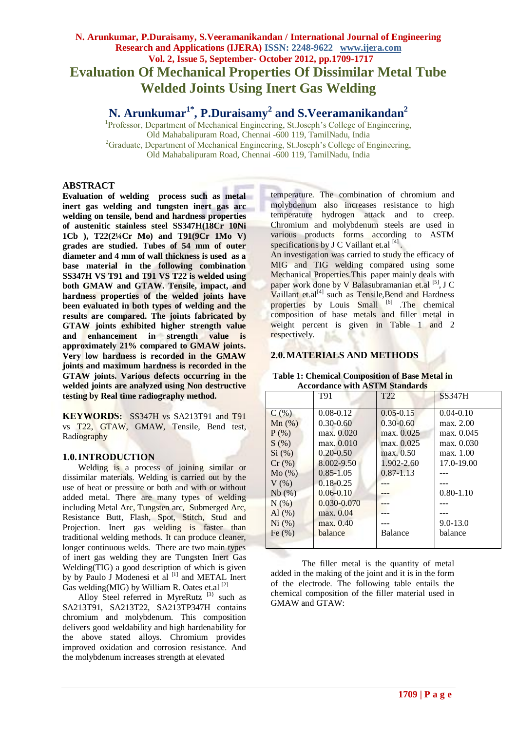# **N. Arunkumar, P.Duraisamy, S.Veeramanikandan / International Journal of Engineering Research and Applications (IJERA) ISSN: 2248-9622 www.ijera.com Vol. 2, Issue 5, September- October 2012, pp.1709-1717 Evaluation Of Mechanical Properties Of Dissimilar Metal Tube Welded Joints Using Inert Gas Welding**

# **N. Arunkumar1\* , P.Duraisamy<sup>2</sup> and S.Veeramanikandan<sup>2</sup>**

<sup>1</sup>Professor, Department of Mechanical Engineering, St.Joseph's College of Engineering, Old Mahabalipuram Road, Chennai -600 119, TamilNadu, India <sup>2</sup>Graduate, Department of Mechanical Engineering, St.Joseph's College of Engineering, Old Mahabalipuram Road, Chennai -600 119, TamilNadu, India

## **ABSTRACT**

**Evaluation of welding process such as metal inert gas welding and tungsten inert gas arc welding on tensile, bend and hardness properties of austenitic stainless steel SS347H(18Cr 10Ni 1Cb ), T22(2¼Cr Mo) and T91(9Cr 1Mo V) grades are studied. Tubes of 54 mm of outer diameter and 4 mm of wall thickness is used as a base material in the following combination SS347H VS T91 and T91 VS T22 is welded using both GMAW and GTAW. Tensile, impact, and hardness properties of the welded joints have been evaluated in both types of welding and the results are compared. The joints fabricated by GTAW joints exhibited higher strength value and enhancement in strength value is approximately 21% compared to GMAW joints. Very low hardness is recorded in the GMAW joints and maximum hardness is recorded in the GTAW joints. Various defects occurring in the welded joints are analyzed using Non destructive testing by Real time radiography method.**

**KEYWORDS:** SS347H vs SA213T91 and T91 vs T22, GTAW, GMAW, Tensile, Bend test, Radiography

# **1.0.INTRODUCTION**

Welding is a process of joining similar or dissimilar materials. Welding is carried out by the use of heat or pressure or both and with or without added metal. There are many types of welding including Metal Arc, Tungsten arc, Submerged Arc, Resistance Butt, Flash, Spot, Stitch, Stud and Projection. Inert gas welding is faster than traditional welding methods. It can produce cleaner, longer continuous welds. There are two main types of inert gas welding they are Tungsten Inert Gas Welding(TIG) a good description of which is given by by Paulo J Modenesi et al <sup>[1]</sup> and METAL Inert Gas welding(MIG) by William R. Oates et.al  $^{[2]}$ 

Alloy Steel referred in MyreRutz  $[3]$  such as SA213T91, SA213T22, SA213TP347H contains chromium and molybdenum. This composition delivers good weldability and high hardenability for the above stated alloys. Chromium provides improved oxidation and corrosion resistance. And the molybdenum increases strength at elevated

temperature. The combination of chromium and molybdenum also increases resistance to high temperature hydrogen attack and to creep. Chromium and molybdenum steels are used in various products forms according to ASTM specifications by J C Vaillant et.al [4].

An investigation was carried to study the efficacy of MIG and TIG welding compared using some Mechanical Properties.This paper mainly deals with paper work done by V Balasubramanian et.al [5], J C Vaillant et.al<sup>[4]</sup> such as Tensile, Bend and Hardness properties by Louis Small <sup>[6]</sup> .The chemical composition of base metals and filler metal in weight percent is given in Table 1 and 2 respectively.

## **2.0.MATERIALS AND METHODS**

**Table 1: Chemical Composition of Base Metal in Accordance with ASTM Standards**

| Accor agnee whire the five building as |                 |                 |               |  |  |
|----------------------------------------|-----------------|-----------------|---------------|--|--|
|                                        | T91             | T <sub>22</sub> | <b>SS347H</b> |  |  |
| C(% )                                  | $0.08 - 0.12$   | $0.05 - 0.15$   | $0.04 - 0.10$ |  |  |
| $Mn$ (%)                               | $0.30 - 0.60$   | $0.30 - 0.60$   | max. 2.00     |  |  |
| $P$ (%)                                | max. 0.020      | max. 0.025      | max. 0.045    |  |  |
| S(%)                                   | max. 0.010      | max. 0.025      | max. 0.030    |  |  |
| Si (%)                                 | $0.20 - 0.50$   | max. 0.50       | max. 1.00     |  |  |
| $Cr \left( % \right)$                  | 8.002-9.50      | 1.902-2.60      | 17.0-19.00    |  |  |
| Mo(%)                                  | $0.85 - 1.05$   | $0.87 - 1.13$   |               |  |  |
| $V(\%)$                                | $0.18 - 0.25$   |                 |               |  |  |
| Nb(%)                                  | $0.06 - 0.10$   |                 | $0.80 - 1.10$ |  |  |
| $N(\%)$                                | $0.030 - 0.070$ |                 |               |  |  |
| Al $(\%)$                              | max. 0.04       |                 |               |  |  |
| Ni (%)                                 | max. 0.40       |                 | $9.0 - 13.0$  |  |  |
| Fe $(% )$                              | balance         | Balance         | balance       |  |  |
|                                        |                 |                 |               |  |  |

The filler metal is the quantity of metal added in the making of the joint and it is in the form of the electrode. The following table entails the chemical composition of the filler material used in GMAW and GTAW: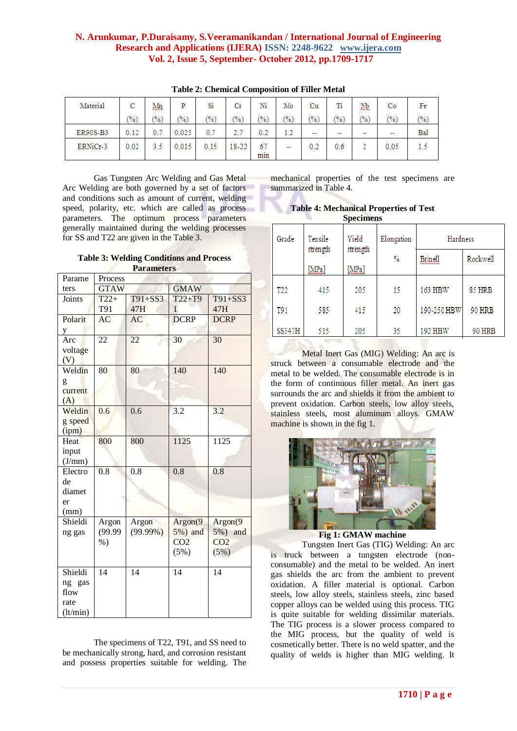| Material        | С     | Mņ,           | P              | Si            | Сr            | Ni            | Mo                       | Cu                       |                          | Nb.                      | Co                       | Fe            |
|-----------------|-------|---------------|----------------|---------------|---------------|---------------|--------------------------|--------------------------|--------------------------|--------------------------|--------------------------|---------------|
|                 | (9/6) | $\frac{1}{2}$ | $\frac{70}{6}$ | $\frac{1}{2}$ | $\frac{9}{6}$ | $\frac{9}{6}$ | $\left(\%\right)$        | (%)                      | (%)                      | $\frac{9}{6}$            | (%)                      | $\frac{6}{2}$ |
| <b>ER90S-B3</b> | 0.12  | 0.7           | 0.025          | 0.7           | 2.7           | 0.2           | 12                       | $\overline{\phantom{a}}$ | $\overline{\phantom{a}}$ | $\overline{\phantom{a}}$ | $\overline{\phantom{a}}$ | Bal           |
| ERNiCr-3        | 0.02  | 3.5           | 0.015          | 0.15          | 18-22         | 67<br>min     | $\overline{\phantom{a}}$ | 0.2                      | 0.6                      |                          | 0.05                     | 1.5           |

**Table 2: Chemical Composition of Filler Metal**

Gas Tungsten Arc Welding and Gas Metal Arc Welding are both governed by a set of factors and conditions such as amount of current, welding speed, polarity, etc. which are called as process parameters. The optimum process parameters generally maintained during the welding processes for SS and T22 are given in the Table 3.

**Table 3: Welding Conditions and Process Parameters**

| r ar ameters |                 |             |                 |                 |  |
|--------------|-----------------|-------------|-----------------|-----------------|--|
| Parame       | Process         |             |                 |                 |  |
| ters         | <b>GTAW</b>     |             | <b>GMAW</b>     |                 |  |
| Joints       | $T22+$          | $T91 + SS3$ | $T22+T9$        | $T91+SS3$       |  |
|              | T91             | 47H         | $\mathbf{1}$    | 47H             |  |
| Polarit      | AC              | AC          | <b>DCRP</b>     | <b>DCRP</b>     |  |
| y            |                 |             |                 |                 |  |
| Arc          | 22              | 22          | 30              | 30              |  |
| voltage      |                 |             |                 |                 |  |
| (V)          |                 |             |                 |                 |  |
| Weldin       | $\overline{80}$ | 80          | 140             | 140             |  |
| g            |                 |             |                 |                 |  |
| current      |                 |             |                 |                 |  |
| (A)          |                 |             |                 |                 |  |
| Weldin       | 0.6             | 0.6         | 3.2             | 3.2             |  |
| g speed      |                 |             |                 |                 |  |
| (ipm)        |                 |             |                 |                 |  |
| Heat         | 800             | 800         | 1125            | 1125            |  |
| input        |                 |             |                 |                 |  |
| (J/mm)       |                 |             |                 |                 |  |
| Electro      | 0.8             | 0.8         | 0.8             | 0.8             |  |
| de           |                 |             |                 |                 |  |
| diamet       |                 |             |                 |                 |  |
| er           |                 |             |                 |                 |  |
| (mm)         |                 |             |                 |                 |  |
| Shieldi      | Argon           | Argon       | Argon(9)        | Argon(9)        |  |
| ng gas       | (99.99)         | $(99.99\%)$ | 5%) and         | 5%) and         |  |
|              | $\%$ )          |             | CO <sub>2</sub> | CO <sub>2</sub> |  |
|              |                 |             | (5%)            | (5%)            |  |
|              |                 |             |                 |                 |  |
| Shieldi      | 14              | 14          | 14              | 14              |  |
| ng gas       |                 |             |                 |                 |  |
| flow         |                 |             |                 |                 |  |
| rate         |                 |             |                 |                 |  |
| (lt/min)     |                 |             |                 |                 |  |

The specimens of T22, T91, and SS need to be mechanically strong, hard, and corrosion resistant and possess properties suitable for welding. The

mechanical properties of the test specimens are summarized in Table 4.

**Table 4: Mechanical Properties of Test Specimens**

| Grade           | Tensile<br>strength | Yield<br>strength | Elongation | Hardness    |               |
|-----------------|---------------------|-------------------|------------|-------------|---------------|
|                 | [MPa]               | [MPa]             | $\%$       | Brinell     | Rockwell      |
| T <sub>22</sub> | 415                 | 205               | 15         | 163 HBW     | 85 HRB        |
| T91             | 585                 | 415               | 20         | 190-250 HBW | <b>90 HRB</b> |
| <b>SS347H</b>   | 515                 | 205               | 35         | 192 HBW     | 90 HRB        |

Metal Inert Gas (MIG) Welding: An arc is struck between a consumable electrode and the metal to be welded. The consumable electrode is in the form of continuous filler metal. An inert gas surrounds the arc and shields it from the ambient to prevent oxidation. Carbon steels, low alloy steels, stainless steels, most aluminum alloys. GMAW machine is shown in the fig 1.



**Fig 1: GMAW machine**

Tungsten Inert Gas (TIG) Welding: An arc is truck between a tungsten electrode (nonconsumable) and the metal to be welded. An inert gas shields the arc from the ambient to prevent oxidation. A filler material is optional. Carbon steels, low alloy steels, stainless steels, zinc based copper alloys can be welded using this process. TIG is quite suitable for welding dissimilar materials. The TIG process is a slower process compared to the MIG process, but the quality of weld is cosmetically better. There is no weld spatter, and the quality of welds is higher than MIG welding. It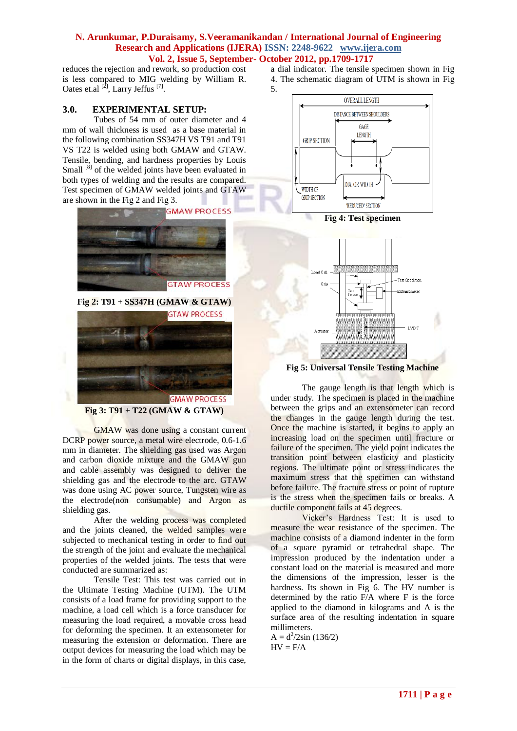reduces the rejection and rework, so production cost is less compared to MIG welding by William R. Oates et.al  $^{[2]}$ , Larry Jeffus  $^{[7]}$ .

## **3.0. EXPERIMENTAL SETUP:**

Tubes of 54 mm of outer diameter and 4 mm of wall thickness is used as a base material in the following combination SS347H VS T91 and T91 VS T22 is welded using both GMAW and GTAW. Tensile, bending, and hardness properties by Louis Small <sup>[8]</sup> of the welded joints have been evaluated in both types of welding and the results are compared. Test specimen of GMAW welded joints and GTAW are shown in the Fig 2 and Fig 3.



**Fig 2: T91 + SS347H (GMAW & GTAW)** 



#### **Fig 3: T91 + T22 (GMAW & GTAW)**

GMAW was done using a constant current DCRP power source, a metal wire electrode, 0.6-1.6 mm in diameter. The shielding gas used was Argon and carbon dioxide mixture and the GMAW gun and cable assembly was designed to deliver the shielding gas and the electrode to the arc. GTAW was done using AC power source, Tungsten wire as the electrode(non consumable) and Argon as shielding gas.

After the welding process was completed and the joints cleaned, the welded samples were subjected to mechanical testing in order to find out the strength of the joint and evaluate the mechanical properties of the welded joints. The tests that were conducted are summarized as:

Tensile Test: This test was carried out in the Ultimate Testing Machine (UTM). The UTM consists of a load frame for providing support to the machine, a load cell which is a force transducer for measuring the load required, a movable cross head for deforming the specimen. It an extensometer for measuring the extension or deformation. There are output devices for measuring the load which may be in the form of charts or digital displays, in this case,

- a dial indicator. The tensile specimen shown in Fig
- 4. The schematic diagram of UTM is shown in Fig
	-

5.



**Fig 4: Test specimen**



**Fig 5: Universal Tensile Testing Machine**

The gauge length is that length which is under study. The specimen is placed in the machine between the grips and an extensometer can record the changes in the gauge length during the test. Once the machine is started, it begins to apply an increasing load on the specimen until fracture or failure of the specimen. The yield point indicates the transition point between elasticity and plasticity regions. The ultimate point or stress indicates the maximum stress that the specimen can withstand before failure. The fracture stress or point of rupture is the stress when the specimen fails or breaks. A ductile component fails at 45 degrees.

Vicker's Hardness Test: It is used to measure the wear resistance of the specimen. The machine consists of a diamond indenter in the form of a square pyramid or tetrahedral shape. The impression produced by the indentation under a constant load on the material is measured and more the dimensions of the impression, lesser is the hardness. Its shown in Fig 6. The HV number is determined by the ratio F/A where F is the force applied to the diamond in kilograms and A is the surface area of the resulting indentation in square millimeters.

 $A = d^2/2\sin(136/2)$  $HV = F/A$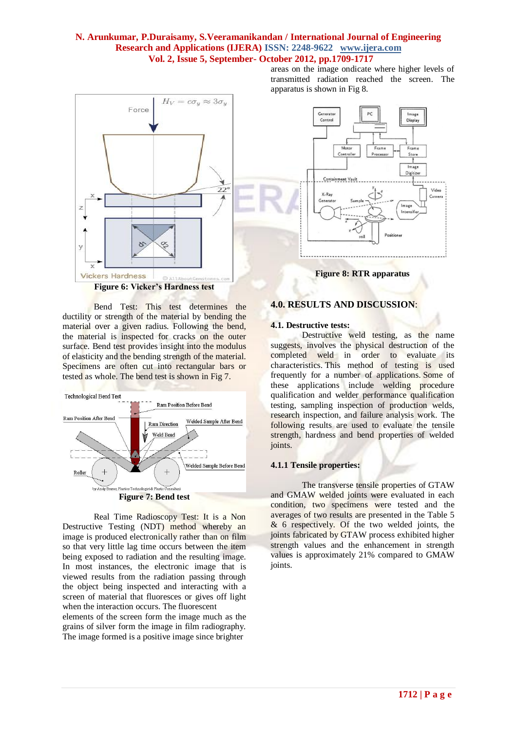

Bend Test: This test determines the ductility or strength of the material by bending the material over a given radius. Following the bend, the material is inspected for cracks on the outer surface. Bend test provides insight into the modulus of elasticity and the bending strength of the material. Specimens are often cut into rectangular bars or tested as whole. The bend test is shown in Fig 7.



Real Time Radioscopy Test: It is a Non Destructive Testing (NDT) method whereby an image is produced electronically rather than on film so that very little lag time occurs between the item being exposed to radiation and the resulting image. In most instances, the electronic image that is viewed results from the radiation passing through the object being inspected and interacting with a screen of material that fluoresces or gives off light when the interaction occurs. The fluorescent

elements of the screen form the image much as the grains of silver form the image in film radiography. The image formed is a positive image since brighter

areas on the image ondicate where higher levels of transmitted radiation reached the screen. The apparatus is shown in Fig 8.



**Figure 8: RTR apparatus**

#### **4.0. RESULTS AND DISCUSSION**:

#### **4.1. Destructive tests:**

Destructive weld testing, as the name suggests, involves the physical destruction of the completed weld in order to evaluate its characteristics. This method of testing is used frequently for a number of applications. Some of these applications include welding procedure qualification and welder performance qualification testing, sampling inspection of production welds, research inspection, and failure analysis work. The following results are used to evaluate the tensile strength, hardness and bend properties of welded joints.

#### **4.1.1 Tensile properties:**

The transverse tensile properties of GTAW and GMAW welded joints were evaluated in each condition, two specimens were tested and the averages of two results are presented in the Table 5 & 6 respectively. Of the two welded joints, the joints fabricated by GTAW process exhibited higher strength values and the enhancement in strength values is approximately 21% compared to GMAW joints.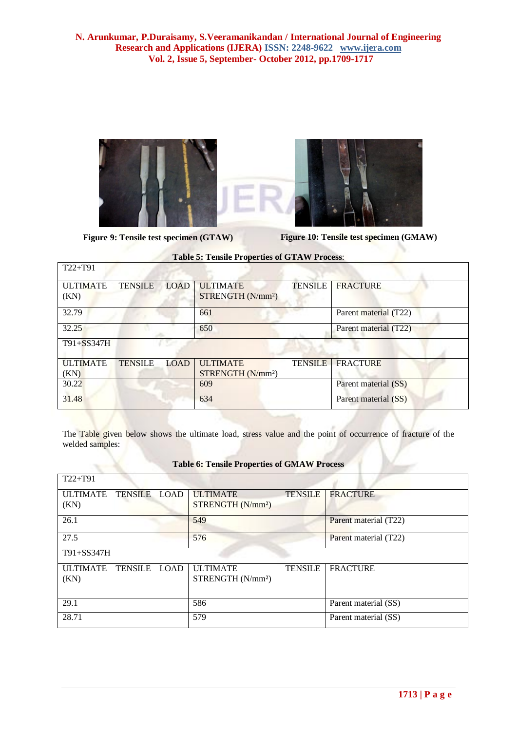

**Figure 9: Tensile test specimen (GTAW) Figure 10: Tensile test specimen (GMAW)**

| $T22+T91$               |                |             |                                                  |                |                       |
|-------------------------|----------------|-------------|--------------------------------------------------|----------------|-----------------------|
| <b>ULTIMATE</b><br>(KN) | <b>TENSILE</b> | <b>LOAD</b> | <b>ULTIMATE</b><br>STRENGTH (N/mm <sup>2</sup> ) | <b>TENSILE</b> | <b>FRACTURE</b>       |
| 32.79                   |                |             | 661                                              |                | Parent material (T22) |
| 32.25                   |                |             | 650                                              |                | Parent material (T22) |
| $T91 + SS347H$          |                | $\sqrt{2}$  |                                                  |                |                       |
| <b>ULTIMATE</b><br>(KN) | <b>TENSILE</b> | LOAD        | <b>ULTIMATE</b><br>STRENGTH (N/mm <sup>2</sup> ) | <b>TENSILE</b> | <b>FRACTURE</b>       |
| 30.22                   |                |             | 609                                              |                | Parent material (SS)  |
| 31.48                   |                |             | 634                                              |                | Parent material (SS)  |

**Table 5: Tensile Properties of GTAW Process**:

The Table given below shows the ultimate load, stress value and the point of occurrence of fracture of the welded samples:

| $T22+T91$                               |                                                  |                |                       |
|-----------------------------------------|--------------------------------------------------|----------------|-----------------------|
| <b>ULTIMATE</b><br>TENSILE LOAD<br>(KN) | <b>ULTIMATE</b><br>STRENGTH (N/mm <sup>2</sup> ) | <b>TENSILE</b> | <b>FRACTURE</b>       |
| 26.1                                    | 549                                              |                | Parent material (T22) |
| 27.5                                    | 576                                              |                | Parent material (T22) |
| T91+SS347H                              |                                                  |                |                       |
| TENSILE LOAD<br><b>ULTIMATE</b><br>(KN) | <b>ULTIMATE</b><br>STRENGTH (N/mm <sup>2</sup> ) | <b>TENSILE</b> | <b>FRACTURE</b>       |
| 29.1                                    | 586                                              |                | Parent material (SS)  |
| 28.71                                   | 579                                              |                | Parent material (SS)  |

## **Table 6: Tensile Properties of GMAW Process**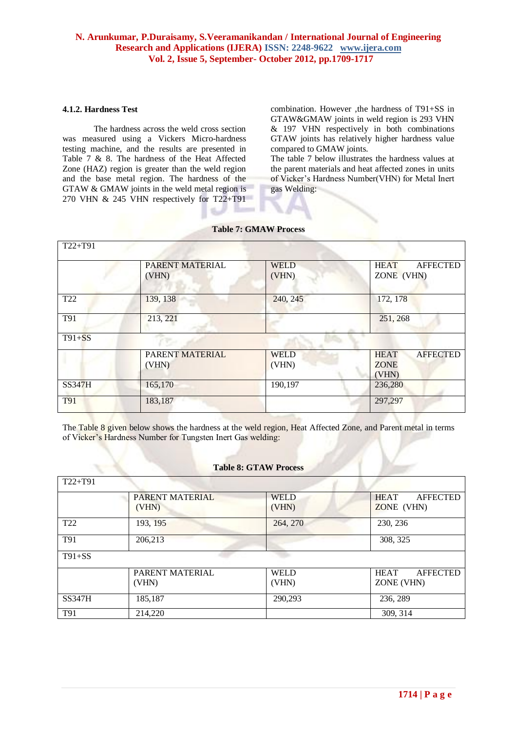## **4.1.2. Hardness Test**

The hardness across the weld cross section was measured using a Vickers Micro-hardness testing machine, and the results are presented in Table 7 & 8. The hardness of the Heat Affected Zone (HAZ) region is greater than the weld region and the base metal region. The hardness of the GTAW & GMAW joints in the weld metal region is 270 VHN & 245 VHN respectively for T22+T91

combination. However ,the hardness of T91+SS in GTAW&GMAW joints in weld region is 293 VHN & 197 VHN respectively in both combinations GTAW joints has relatively higher hardness value compared to GMAW joints.

The table 7 below illustrates the hardness values at the parent materials and heat affected zones in units of Vicker's Hardness Number(VHN) for Metal Inert gas Welding:

| T22+T91         |                          |                      |                                                        |
|-----------------|--------------------------|----------------------|--------------------------------------------------------|
|                 | PARENT MATERIAL<br>(VHN) | <b>WELD</b><br>(VHN) | <b>HEAT</b><br><b>AFFECTED</b><br>ZONE (VHN)           |
| T <sub>22</sub> | 139, 138                 | 240, 245             | 172, 178                                               |
| T91             | 213, 221                 |                      | 251, 268                                               |
| $T91 + SS$      |                          |                      |                                                        |
|                 | PARENT MATERIAL<br>(VHN) | <b>WELD</b><br>(VHN) | <b>HEAT</b><br><b>AFFECTED</b><br><b>ZONE</b><br>(VHN) |
| SS347H          | 165,170                  | 190,197              | 236,280                                                |
| T91             | 183,187                  |                      | 297,297                                                |

#### **Table 7: GMAW Process**

15.

The Table 8 given below shows the hardness at the weld region, Heat Affected Zone, and Parent metal in terms of Vicker's Hardness Number for Tungsten Inert Gas welding:

#### **Table 8: GTAW Process**

| $T22+T91$       |                 |             |                                |
|-----------------|-----------------|-------------|--------------------------------|
|                 | PARENT MATERIAL | <b>WELD</b> | <b>HEAT</b><br><b>AFFECTED</b> |
|                 | (VHN)           | (VHN)       | ZONE (VHN)                     |
| T <sub>22</sub> | 193, 195        | 264, 270    | 230, 236                       |
| T91             | 206,213         |             | 308, 325                       |
| $T91+SS$        |                 |             |                                |
|                 | PARENT MATERIAL | <b>WELD</b> | <b>HEAT</b><br><b>AFFECTED</b> |
|                 | (VHN)           | (VHN)       | ZONE (VHN)                     |
| <b>SS347H</b>   | 185,187         | 290,293     | 236, 289                       |
| T91             | 214,220         |             | 309, 314                       |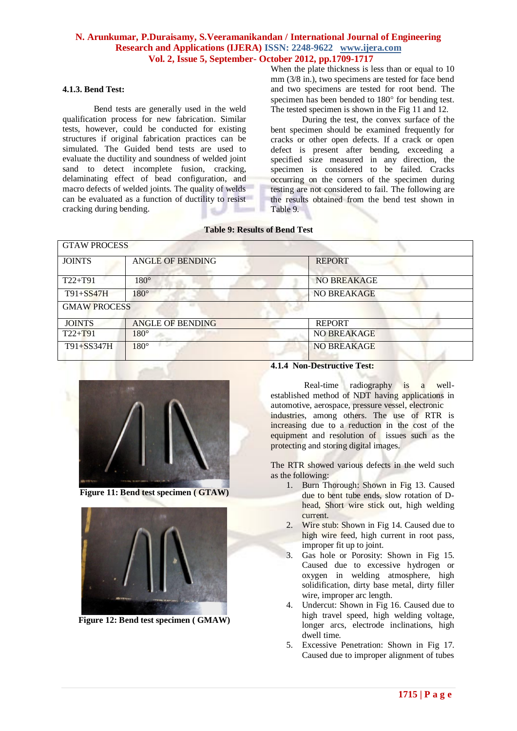#### **4.1.3. Bend Test:**

Bend tests are generally used in the weld qualification process for new fabrication. Similar tests, however, could be conducted for existing structures if original fabrication practices can be simulated. The Guided bend tests are used to evaluate the ductility and soundness of welded joint sand to detect incomplete fusion, cracking, delaminating effect of bead configuration, and macro defects of welded joints. The quality of welds can be evaluated as a function of ductility to resist cracking during bending.

When the plate thickness is less than or equal to 10 mm (3/8 in.), two specimens are tested for face bend and two specimens are tested for root bend. The specimen has been bended to  $180^{\circ}$  for bending test. The tested specimen is shown in the Fig 11 and 12.

During the test, the convex surface of the bent specimen should be examined frequently for cracks or other open defects. If a crack or open defect is present after bending, exceeding a specified size measured in any direction, the specimen is considered to be failed. Cracks occurring on the corners of the specimen during testing are not considered to fail. The following are the results obtained from the bend test shown in Table 9.

**Table 9: Results of Bend Test**

| <b>GTAW PROCESS</b> |                         |                    |  |  |  |
|---------------------|-------------------------|--------------------|--|--|--|
| <b>JOINTS</b>       | <b>ANGLE OF BENDING</b> | <b>REPORT</b>      |  |  |  |
| $T22+T91$           | $180^\circ$             | NO BREAKAGE        |  |  |  |
| $T91 + SS47H$       | $180^\circ$             | <b>NO BREAKAGE</b> |  |  |  |
| <b>GMAW PROCESS</b> |                         |                    |  |  |  |
| <b>JOINTS</b>       | <b>ANGLE OF BENDING</b> | <b>REPORT</b>      |  |  |  |
| $T22+T91$           | $180^\circ$             | <b>NO BREAKAGE</b> |  |  |  |
| T91+SS347H          | $\sim$<br>$180^\circ$   | <b>NO BREAKAGE</b> |  |  |  |



**Figure 11: Bend test specimen ( GTAW)**



**Figure 12: Bend test specimen ( GMAW)**

#### **4.1.4 Non-Destructive Test:**

Real-time radiography is a wellestablished method of NDT having applications in automotive, aerospace, pressure vessel, electronic industries, among others. The use of RTR is increasing due to a reduction in the cost of the equipment and resolution of issues such as the protecting and storing digital images.

The RTR showed various defects in the weld such as the following:

- 1. Burn Thorough: Shown in Fig 13. Caused due to bent tube ends, slow rotation of Dhead, Short wire stick out, high welding current.
- 2. Wire stub: Shown in Fig 14. Caused due to high wire feed, high current in root pass, improper fit up to joint.
- 3. Gas hole or Porosity: Shown in Fig 15. Caused due to excessive hydrogen or oxygen in welding atmosphere, high solidification, dirty base metal, dirty filler wire, improper arc length.
- 4. Undercut: Shown in Fig 16. Caused due to high travel speed, high welding voltage, longer arcs, electrode inclinations, high dwell time.
- 5. Excessive Penetration: Shown in Fig 17. Caused due to improper alignment of tubes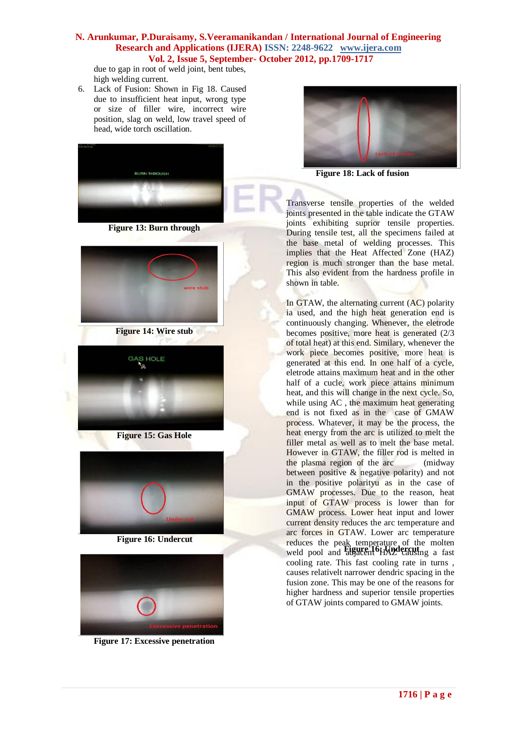due to gap in root of weld joint, bent tubes, high welding current.

6. Lack of Fusion: Shown in Fig 18. Caused due to insufficient heat input, wrong type or size of filler wire, incorrect wire position, slag on weld, low travel speed of head, wide torch oscillation.



**Figure 13: Burn through**



**Figure 14: Wire stub**



**Figure 15: Gas Hole**



 **Figure 16: Undercut**



**Figure 17: Excessive penetration**



**Figure 18: Lack of fusion**

Transverse tensile properties of the welded joints presented in the table indicate the GTAW joints exhibiting suprior tensile properties. During tensile test, all the specimens failed at the base metal of welding processes. This implies that the Heat Affected Zone (HAZ) region is much stronger than the base metal. This also evident from the hardness profile in shown in table.

**Feduces the peak temperature of the molten<br>weld pool and <b>Eigure, 16: Undercut**<sub>ng</sub> a fast In GTAW, the alternating current (AC) polarity ia used, and the high heat generation end is continuously changing. Whenever, the eletrode becomes positive, more heat is generated  $(2/3)$ of total heat) at this end. Similary, whenever the work piece becomes positive, more heat is generated at this end. In one half of a cycle, eletrode attains maximum heat and in the other half of a cucle, work piece attains minimum heat, and this will change in the next cycle. So, while using AC , the maximum heat generating end is not fixed as in the case of GMAW process. Whatever, it may be the process, the heat energy from the arc is utilized to melt the filler metal as well as to melt the base metal. However in GTAW, the filler rod is melted in the plasma region of the arc (midway between positive & negative polarity) and not in the positive polarityu as in the case of GMAW processes. Due to the reason, heat input of GTAW process is lower than for GMAW process. Lower heat input and lower current density reduces the arc temperature and arc forces in GTAW. Lower arc temperature weld pool and adjacent HAZ causing a fast cooling rate. This fast cooling rate in turns , causes relativelt narrower dendric spacing in the fusion zone. This may be one of the reasons for higher hardness and superior tensile properties of GTAW joints compared to GMAW joints.